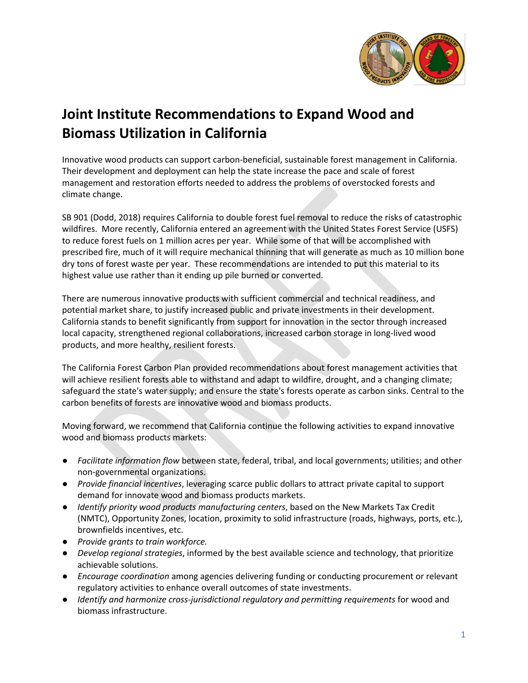

# **Joint Institute Recommendations to Expand Wood and Biomass Utilization in California**

Innovative wood products can support carbon-beneficial, sustainable forest management in California. Their development and deployment can help the state increase the pace and scale of forest management and restoration efforts needed to address the problems of overstocked forests and climate change.

SB 901 (Dodd, 2018) requires California to double forest fuel removal to reduce the risks of catastrophic wildfires. More recently, California entered an agreement with the United States Forest Service (USFS) to reduce forest fuels on 1 million acres per year. While some of that will be accomplished with prescribed fire, much of it will require mechanical thinning that will generate as much as 10 million bone dry tons of forest waste per year. These recommendations are intended to put this material to its highest value use rather than it ending up pile burned or converted.

There are numerous innovative products with sufficient commercial and technical readiness, and potential market share, to justify increased public and private investments in their development. California stands to benefit significantly from support for innovation in the sector through increased local capacity, strengthened regional collaborations, increased carbon storage in long-lived wood products, and more healthy, resilient forests.

The California Forest Carbon Plan provided recommendations about forest management activities that will achieve resilient forests able to withstand and adapt to wildfire, drought, and a changing climate; safeguard the state's water supply; and ensure the state's forests operate as carbon sinks. Central to the carbon benefits of forests are innovative wood and biomass products.

Moving forward, we recommend that California continue the following activities to expand innovative wood and biomass products markets:

- *Facilitate information flow* between state, federal, tribal, and local governments; utilities; and other non-governmental organizations.
- *Provide financial incentives*, leveraging scarce public dollars to attract private capital to support demand for innovate wood and biomass products markets.
- *Identify priority wood products manufacturing centers*, based on the New Markets Tax Credit (NMTC), Opportunity Zones, location, proximity to solid infrastructure (roads, highways, ports, etc.), brownfields incentives, etc.
- *Provide grants to train workforce.*
- *Develop regional strategies*, informed by the best available science and technology, that prioritize achievable solutions.
- *Encourage coordination* among agencies delivering funding or conducting procurement or relevant regulatory activities to enhance overall outcomes of state investments.
- *Identify and harmonize cross-jurisdictional regulatory and permitting requirements* for wood and biomass infrastructure.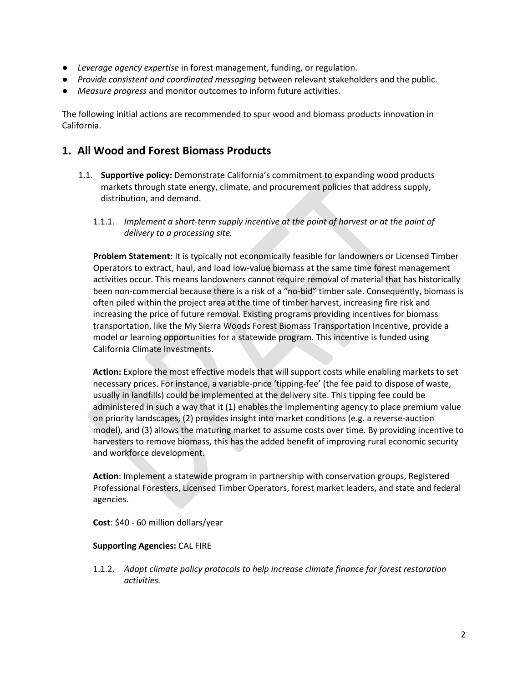- *Leverage agency expertise* in forest management, funding, or regulation.
- *Provide consistent and coordinated messaging* between relevant stakeholders and the public.
- *Measure progress* and monitor outcomes to inform future activities.

The following initial actions are recommended to spur wood and biomass products innovation in California.

# **1. All Wood and Forest Biomass Products**

- 1.1. **Supportive policy:** Demonstrate California's commitment to expanding wood products markets through state energy, climate, and procurement policies that address supply, distribution, and demand.
	- 1.1.1. *Implement a short-term supply incentive at the point of harvest or at the point of delivery to a processing site.*

**Problem Statement:** It is typically not economically feasible for landowners or Licensed Timber Operators to extract, haul, and load low-value biomass at the same time forest management activities occur. This means landowners cannot require removal of material that has historically been non-commercial because there is a risk of a "no-bid" timber sale. Consequently, biomass is often piled within the project area at the time of timber harvest, increasing fire risk and increasing the price of future removal. Existing programs providing incentives for biomass transportation, like the My Sierra Woods Forest Biomass Transportation Incentive, provide a model or learning opportunities for a statewide program. This incentive is funded using California Climate Investments.

**Action:** Explore the most effective models that will support costs while enabling markets to set necessary prices. For instance, a variable-price 'tipping-fee' (the fee paid to dispose of waste, usually in landfills) could be implemented at the delivery site. This tipping fee could be administered in such a way that it (1) enables the implementing agency to place premium value on priority landscapes, (2) provides insight into market conditions (e.g. a reverse-auction model), and (3) allows the maturing market to assume costs over time. By providing incentive to harvesters to remove biomass, this has the added benefit of improving rural economic security and workforce development.

**Action**: Implement a statewide program in partnership with conservation groups, Registered Professional Foresters, Licensed Timber Operators, forest market leaders, and state and federal agencies.

**Cost**: \$40 - 60 million dollars/year

## **Supporting Agencies:** CAL FIRE

1.1.2. *Adopt climate policy protocols to help increase climate finance for forest restoration activities.*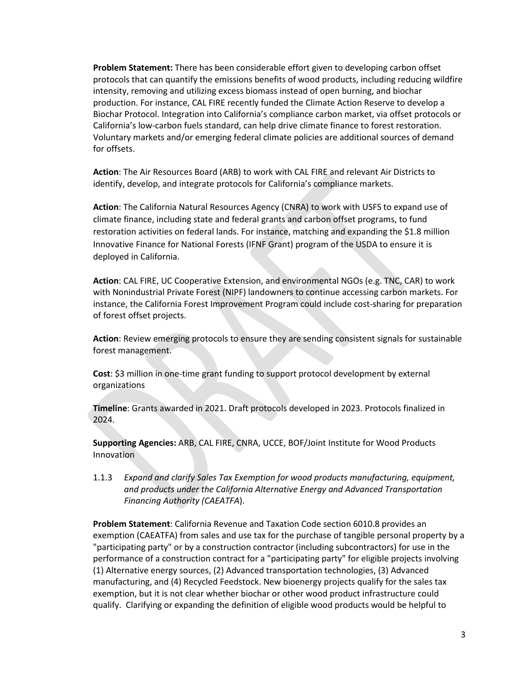**Problem Statement:** There has been considerable effort given to developing carbon offset protocols that can quantify the emissions benefits of wood products, including reducing wildfire intensity, removing and utilizing excess biomass instead of open burning, and biochar production. For instance, CAL FIRE recently funded the Climate Action Reserve to develop a Biochar Protocol. Integration into California's compliance carbon market, via offset protocols or California's low-carbon fuels standard, can help drive climate finance to forest restoration. Voluntary markets and/or emerging federal climate policies are additional sources of demand for offsets.

**Action**: The Air Resources Board (ARB) to work with CAL FIRE and relevant Air Districts to identify, develop, and integrate protocols for California's compliance markets.

**Action**: The California Natural Resources Agency (CNRA) to work with USFS to expand use of climate finance, including state and federal grants and carbon offset programs, to fund restoration activities on federal lands. For instance, matching and expanding the \$1.8 million Innovative Finance for National Forests (IFNF Grant) program of the USDA to ensure it is deployed in California.

**Action**: CAL FIRE, UC Cooperative Extension, and environmental NGOs (e.g. TNC, CAR) to work with Nonindustrial Private Forest (NIPF) landowners to continue accessing carbon markets. For instance, the California Forest Improvement Program could include cost-sharing for preparation of forest offset projects.

**Action**: Review emerging protocols to ensure they are sending consistent signals for sustainable forest management.

**Cost**: \$3 million in one-time grant funding to support protocol development by external organizations

**Timeline**: Grants awarded in 2021. Draft protocols developed in 2023. Protocols finalized in 2024.

**Supporting Agencies:** ARB, CAL FIRE, CNRA, UCCE, BOF/Joint Institute for Wood Products Innovation

1.1.3 *Expand and clarify Sales Tax Exemption for wood products manufacturing, equipment, and products under the California Alternative Energy and Advanced Transportation Financing Authority (CAEATFA*).

**Problem Statement**: California Revenue and Taxation Code section 6010.8 provides an exemption (CAEATFA) from sales and use tax for the purchase of tangible personal property by a "participating party" or by a construction contractor (including subcontractors) for use in the performance of a construction contract for a "participating party" for eligible projects involving (1) Alternative energy sources, (2) Advanced transportation technologies, (3) Advanced manufacturing, and (4) Recycled Feedstock. New bioenergy projects qualify for the sales tax exemption, but it is not clear whether biochar or other wood product infrastructure could qualify. Clarifying or expanding the definition of eligible wood products would be helpful to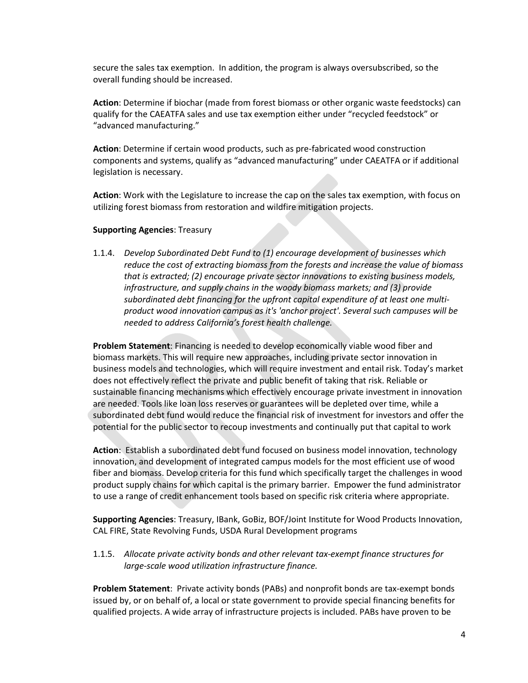secure the sales tax exemption. In addition, the program is always oversubscribed, so the overall funding should be increased.

**Action**: Determine if biochar (made from forest biomass or other organic waste feedstocks) can qualify for the CAEATFA sales and use tax exemption either under "recycled feedstock" or "advanced manufacturing."

**Action**: Determine if certain wood products, such as pre-fabricated wood construction components and systems, qualify as "advanced manufacturing" under CAEATFA or if additional legislation is necessary.

**Action**: Work with the Legislature to increase the cap on the sales tax exemption, with focus on utilizing forest biomass from restoration and wildfire mitigation projects.

#### **Supporting Agencies**: Treasury

1.1.4. *Develop Subordinated Debt Fund to (1) encourage development of businesses which reduce the cost of extracting biomass from the forests and increase the value of biomass that is extracted; (2) encourage private sector innovations to existing business models, infrastructure, and supply chains in the woody biomass markets; and (3) provide subordinated debt financing for the upfront capital expenditure of at least one multiproduct wood innovation campus as it's 'anchor project'. Several such campuses will be needed to address California's forest health challenge.*

**Problem Statement**: Financing is needed to develop economically viable wood fiber and biomass markets. This will require new approaches, including private sector innovation in business models and technologies, which will require investment and entail risk. Today's market does not effectively reflect the private and public benefit of taking that risk. Reliable or sustainable financing mechanisms which effectively encourage private investment in innovation are needed. Tools like loan loss reserves or guarantees will be depleted over time, while a subordinated debt fund would reduce the financial risk of investment for investors and offer the potential for the public sector to recoup investments and continually put that capital to work

**Action**: Establish a subordinated debt fund focused on business model innovation, technology innovation, and development of integrated campus models for the most efficient use of wood fiber and biomass. Develop criteria for this fund which specifically target the challenges in wood product supply chains for which capital is the primary barrier. Empower the fund administrator to use a range of credit enhancement tools based on specific risk criteria where appropriate.

**Supporting Agencies**: Treasury, IBank, GoBiz, BOF/Joint Institute for Wood Products Innovation, CAL FIRE, State Revolving Funds, USDA Rural Development programs

1.1.5. *Allocate private activity bonds and other relevant tax-exempt finance structures for large-scale wood utilization infrastructure finance.*

**Problem Statement**: Private activity bonds (PABs) and nonprofit bonds are tax-exempt bonds issued by, or on behalf of, a local or state government to provide special financing benefits for qualified projects. A wide array of infrastructure projects is included. PABs have proven to be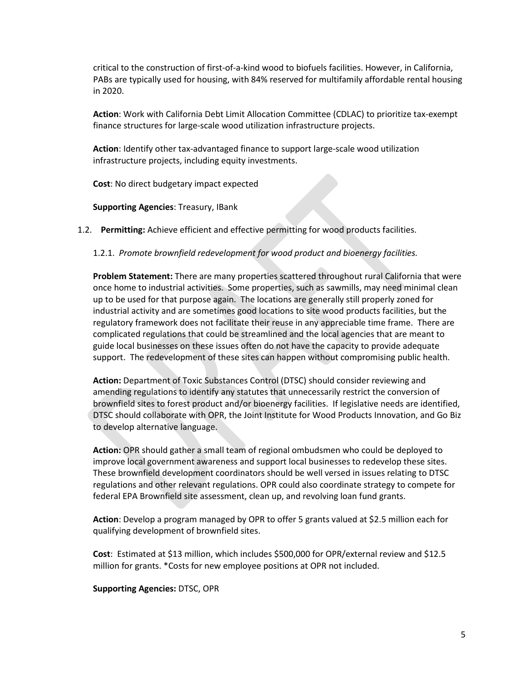critical to the construction of first-of-a-kind wood to biofuels facilities. However, in California, PABs are typically used for housing, with 84% reserved for multifamily affordable rental housing in 2020.

**Action**: Work with California Debt Limit Allocation Committee (CDLAC) to prioritize tax-exempt finance structures for large-scale wood utilization infrastructure projects.

**Action**: Identify other tax-advantaged finance to support large-scale wood utilization infrastructure projects, including equity investments.

**Cost**: No direct budgetary impact expected

**Supporting Agencies**: Treasury, IBank

1.2. **Permitting:** Achieve efficient and effective permitting for wood products facilities.

1.2.1. *Promote brownfield redevelopment for wood product and bioenergy facilities.* 

**Problem Statement:** There are many properties scattered throughout rural California that were once home to industrial activities. Some properties, such as sawmills, may need minimal clean up to be used for that purpose again. The locations are generally still properly zoned for industrial activity and are sometimes good locations to site wood products facilities, but the regulatory framework does not facilitate their reuse in any appreciable time frame. There are complicated regulations that could be streamlined and the local agencies that are meant to guide local businesses on these issues often do not have the capacity to provide adequate support. The redevelopment of these sites can happen without compromising public health.

**Action:** Department of Toxic Substances Control (DTSC) should consider reviewing and amending regulations to identify any statutes that unnecessarily restrict the conversion of brownfield sites to forest product and/or bioenergy facilities. If legislative needs are identified, DTSC should collaborate with OPR, the Joint Institute for Wood Products Innovation, and Go Biz to develop alternative language.

**Action:** OPR should gather a small team of regional ombudsmen who could be deployed to improve local government awareness and support local businesses to redevelop these sites. These brownfield development coordinators should be well versed in issues relating to DTSC regulations and other relevant regulations. OPR could also coordinate strategy to compete for federal EPA Brownfield site assessment, clean up, and revolving loan fund grants.

**Action**: Develop a program managed by OPR to offer 5 grants valued at \$2.5 million each for qualifying development of brownfield sites.

**Cost**: Estimated at \$13 million, which includes \$500,000 for OPR/external review and \$12.5 million for grants. \*Costs for new employee positions at OPR not included.

#### **Supporting Agencies:** DTSC, OPR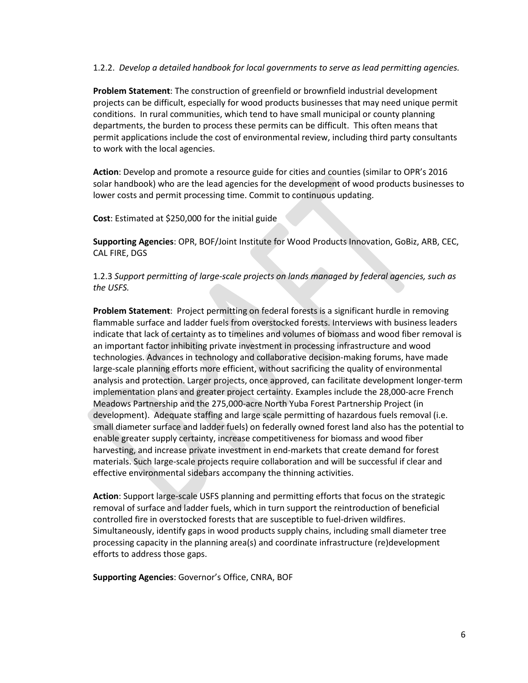#### 1.2.2. *Develop a detailed handbook for local governments to serve as lead permitting agencies.*

**Problem Statement**: The construction of greenfield or brownfield industrial development projects can be difficult, especially for wood products businesses that may need unique permit conditions. In rural communities, which tend to have small municipal or county planning departments, the burden to process these permits can be difficult. This often means that permit applications include the cost of environmental review, including third party consultants to work with the local agencies.

**Action**: Develop and promote a resource guide for cities and counties (similar to OPR's 2016 solar handbook) who are the lead agencies for the development of wood products businesses to lower costs and permit processing time. Commit to continuous updating.

**Cost**: Estimated at \$250,000 for the initial guide

**Supporting Agencies**: OPR, BOF/Joint Institute for Wood Products Innovation, GoBiz, ARB, CEC, CAL FIRE, DGS

1.2.3 *Support permitting of large-scale projects on lands managed by federal agencies, such as the USFS.*

**Problem Statement**: Project permitting on federal forests is a significant hurdle in removing flammable surface and ladder fuels from overstocked forests. Interviews with business leaders indicate that lack of certainty as to timelines and volumes of biomass and wood fiber removal is an important factor inhibiting private investment in processing infrastructure and wood technologies. Advances in technology and collaborative decision-making forums, have made large-scale planning efforts more efficient, without sacrificing the quality of environmental analysis and protection. Larger projects, once approved, can facilitate development longer-term implementation plans and greater project certainty. Examples include the 28,000-acre French Meadows Partnership and the 275,000-acre North Yuba Forest Partnership Project (in development). Adequate staffing and large scale permitting of hazardous fuels removal (i.e. small diameter surface and ladder fuels) on federally owned forest land also has the potential to enable greater supply certainty, increase competitiveness for biomass and wood fiber harvesting, and increase private investment in end-markets that create demand for forest materials. Such large-scale projects require collaboration and will be successful if clear and effective environmental sidebars accompany the thinning activities.

**Action**: Support large-scale USFS planning and permitting efforts that focus on the strategic removal of surface and ladder fuels, which in turn support the reintroduction of beneficial controlled fire in overstocked forests that are susceptible to fuel-driven wildfires. Simultaneously, identify gaps in wood products supply chains, including small diameter tree processing capacity in the planning area(s) and coordinate infrastructure (re)development efforts to address those gaps.

**Supporting Agencies**: Governor's Office, CNRA, BOF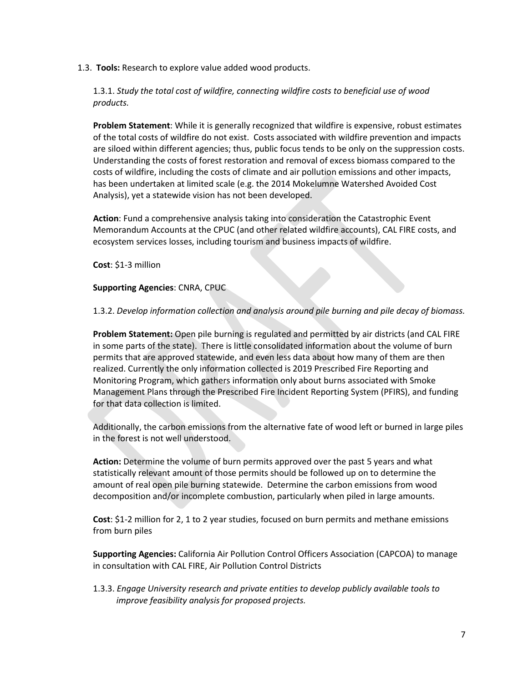## 1.3. **Tools:** Research to explore value added wood products.

1.3.1. *Study the total cost of wildfire, connecting wildfire costs to beneficial use of wood products.*

**Problem Statement**: While it is generally recognized that wildfire is expensive, robust estimates of the total costs of wildfire do not exist. Costs associated with wildfire prevention and impacts are siloed within different agencies; thus, public focus tends to be only on the suppression costs. Understanding the costs of forest restoration and removal of excess biomass compared to the costs of wildfire, including the costs of climate and air pollution emissions and other impacts, has been undertaken at limited scale (e.g. the 2014 Mokelumne Watershed Avoided Cost Analysis), yet a statewide vision has not been developed.

**Action**: Fund a comprehensive analysis taking into consideration the Catastrophic Event Memorandum Accounts at the CPUC (and other related wildfire accounts), CAL FIRE costs, and ecosystem services losses, including tourism and business impacts of wildfire.

**Cost**: \$1-3 million

#### **Supporting Agencies**: CNRA, CPUC

1.3.2. *Develop information collection and analysis around pile burning and pile decay of biomass.*

**Problem Statement:** Open pile burning is regulated and permitted by air districts (and CAL FIRE in some parts of the state). There is little consolidated information about the volume of burn permits that are approved statewide, and even less data about how many of them are then realized. Currently the only information collected is 2019 Prescribed Fire Reporting and Monitoring Program, which gathers information only about burns associated with Smoke Management Plans through the Prescribed Fire Incident Reporting System (PFIRS), and funding for that data collection is limited.

Additionally, the carbon emissions from the alternative fate of wood left or burned in large piles in the forest is not well understood.

**Action:** Determine the volume of burn permits approved over the past 5 years and what statistically relevant amount of those permits should be followed up on to determine the amount of real open pile burning statewide. Determine the carbon emissions from wood decomposition and/or incomplete combustion, particularly when piled in large amounts.

**Cost**: \$1-2 million for 2, 1 to 2 year studies, focused on burn permits and methane emissions from burn piles

**Supporting Agencies:** California Air Pollution Control Officers Association (CAPCOA) to manage in consultation with CAL FIRE, Air Pollution Control Districts

1.3.3. *Engage University research and private entities to develop publicly available tools to improve feasibility analysis for proposed projects.*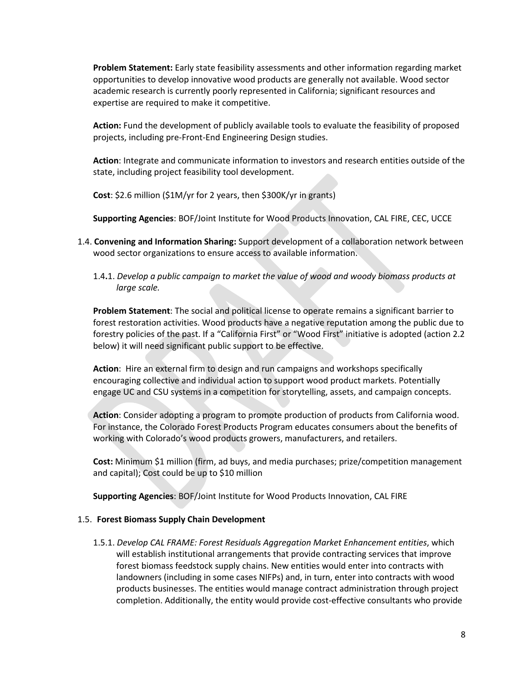**Problem Statement:** Early state feasibility assessments and other information regarding market opportunities to develop innovative wood products are generally not available. Wood sector academic research is currently poorly represented in California; significant resources and expertise are required to make it competitive.

**Action:** Fund the development of publicly available tools to evaluate the feasibility of proposed projects, including pre-Front-End Engineering Design studies.

**Action**: Integrate and communicate information to investors and research entities outside of the state, including project feasibility tool development.

**Cost**: \$2.6 million (\$1M/yr for 2 years, then \$300K/yr in grants)

**Supporting Agencies**: BOF/Joint Institute for Wood Products Innovation, CAL FIRE, CEC, UCCE

- 1.4. **Convening and Information Sharing:** Support development of a collaboration network between wood sector organizations to ensure access to available information.
	- 1.4**.**1. *Develop a public campaign to market the value of wood and woody biomass products at large scale.*

**Problem Statement**: The social and political license to operate remains a significant barrier to forest restoration activities. Wood products have a negative reputation among the public due to forestry policies of the past. If a "California First" or "Wood First" initiative is adopted (action 2.2 below) it will need significant public support to be effective.

**Action**: Hire an external firm to design and run campaigns and workshops specifically encouraging collective and individual action to support wood product markets. Potentially engage UC and CSU systems in a competition for storytelling, assets, and campaign concepts.

**Action**: Consider adopting a program to promote production of products from California wood. For instance, the Colorado Forest Products Program educates consumers about the benefits of working with Colorado's wood products growers, manufacturers, and retailers.

**Cost:** Minimum \$1 million (firm, ad buys, and media purchases; prize/competition management and capital); Cost could be up to \$10 million

**Supporting Agencies**: BOF/Joint Institute for Wood Products Innovation, CAL FIRE

#### 1.5. **Forest Biomass Supply Chain Development**

1.5.1. *Develop CAL FRAME: Forest Residuals Aggregation Market Enhancement entities*, which will establish institutional arrangements that provide contracting services that improve forest biomass feedstock supply chains. New entities would enter into contracts with landowners (including in some cases NIFPs) and, in turn, enter into contracts with wood products businesses. The entities would manage contract administration through project completion. Additionally, the entity would provide cost-effective consultants who provide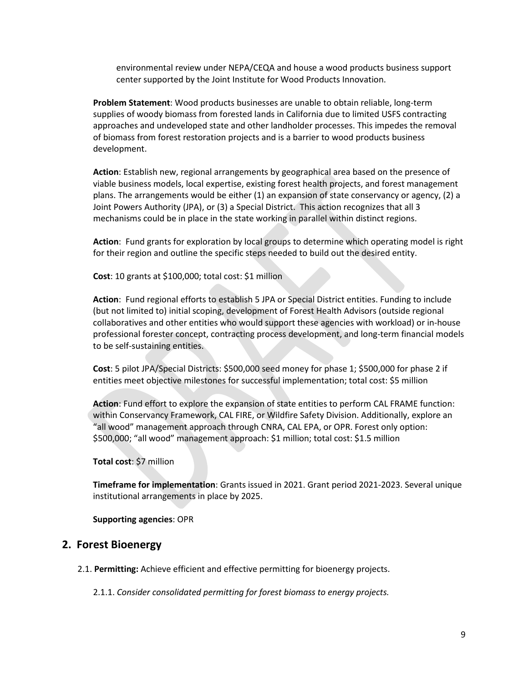environmental review under NEPA/CEQA and house a wood products business support center supported by the Joint Institute for Wood Products Innovation.

**Problem Statement**: Wood products businesses are unable to obtain reliable, long-term supplies of woody biomass from forested lands in California due to limited USFS contracting approaches and undeveloped state and other landholder processes. This impedes the removal of biomass from forest restoration projects and is a barrier to wood products business development.

**Action**: Establish new, regional arrangements by geographical area based on the presence of viable business models, local expertise, existing forest health projects, and forest management plans. The arrangements would be either (1) an expansion of state conservancy or agency, (2) a Joint Powers Authority (JPA), or (3) a Special District. This action recognizes that all 3 mechanisms could be in place in the state working in parallel within distinct regions.

**Action**: Fund grants for exploration by local groups to determine which operating model is right for their region and outline the specific steps needed to build out the desired entity.

**Cost**: 10 grants at \$100,000; total cost: \$1 million

**Action**: Fund regional efforts to establish 5 JPA or Special District entities. Funding to include (but not limited to) initial scoping, development of Forest Health Advisors (outside regional collaboratives and other entities who would support these agencies with workload) or in-house professional forester concept, contracting process development, and long-term financial models to be self-sustaining entities.

**Cost**: 5 pilot JPA/Special Districts: \$500,000 seed money for phase 1; \$500,000 for phase 2 if entities meet objective milestones for successful implementation; total cost: \$5 million

**Action**: Fund effort to explore the expansion of state entities to perform CAL FRAME function: within Conservancy Framework, CAL FIRE, or Wildfire Safety Division. Additionally, explore an "all wood" management approach through CNRA, CAL EPA, or OPR. Forest only option: \$500,000; "all wood" management approach: \$1 million; total cost: \$1.5 million

**Total cost**: \$7 million

**Timeframe for implementation**: Grants issued in 2021. Grant period 2021-2023. Several unique institutional arrangements in place by 2025.

**Supporting agencies**: OPR

# **2. Forest Bioenergy**

2.1. **Permitting:** Achieve efficient and effective permitting for bioenergy projects.

2.1.1. *Consider consolidated permitting for forest biomass to energy projects.*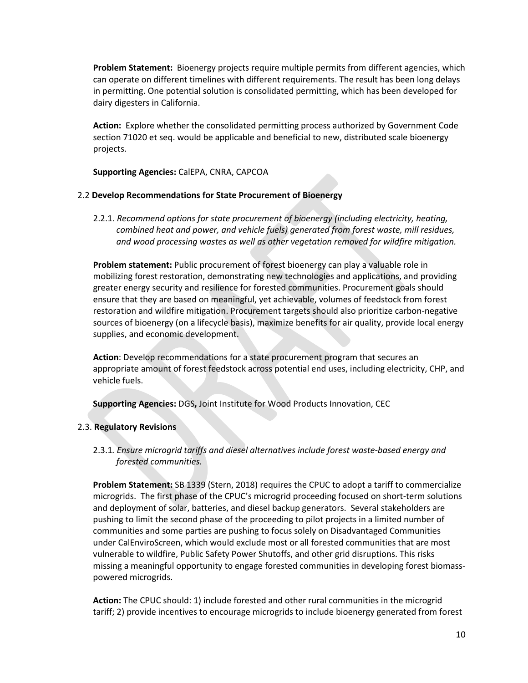**Problem Statement:** Bioenergy projects require multiple permits from different agencies, which can operate on different timelines with different requirements. The result has been long delays in permitting. One potential solution is consolidated permitting, which has been developed for dairy digesters in California.

**Action:** Explore whether the consolidated permitting process authorized by Government Code section 71020 et seq. would be applicable and beneficial to new, distributed scale bioenergy projects.

**Supporting Agencies:** CalEPA, CNRA, CAPCOA

#### 2.2 **Develop Recommendations for State Procurement of Bioenergy**

2.2.1. *Recommend options for state procurement of bioenergy (including electricity, heating, combined heat and power, and vehicle fuels) generated from forest waste, mill residues, and wood processing wastes as well as other vegetation removed for wildfire mitigation.*

**Problem statement:** Public procurement of forest bioenergy can play a valuable role in mobilizing forest restoration, demonstrating new technologies and applications, and providing greater energy security and resilience for forested communities. Procurement goals should ensure that they are based on meaningful, yet achievable, volumes of feedstock from forest restoration and wildfire mitigation. Procurement targets should also prioritize carbon-negative sources of bioenergy (on a lifecycle basis), maximize benefits for air quality, provide local energy supplies, and economic development.

**Action**: Develop recommendations for a state procurement program that secures an appropriate amount of forest feedstock across potential end uses, including electricity, CHP, and vehicle fuels.

**Supporting Agencies:** DGS**,** Joint Institute for Wood Products Innovation, CEC

## 2.3. **Regulatory Revisions**

2.3.1*. Ensure microgrid tariffs and diesel alternatives include forest waste-based energy and forested communities.*

**Problem Statement:** SB 1339 (Stern, 2018) requires the CPUC to adopt a tariff to commercialize microgrids. The first phase of the CPUC's microgrid proceeding focused on short-term solutions and deployment of solar, batteries, and diesel backup generators. Several stakeholders are pushing to limit the second phase of the proceeding to pilot projects in a limited number of communities and some parties are pushing to focus solely on Disadvantaged Communities under CalEnviroScreen, which would exclude most or all forested communities that are most vulnerable to wildfire, Public Safety Power Shutoffs, and other grid disruptions. This risks missing a meaningful opportunity to engage forested communities in developing forest biomasspowered microgrids.

**Action:** The CPUC should: 1) include forested and other rural communities in the microgrid tariff; 2) provide incentives to encourage microgrids to include bioenergy generated from forest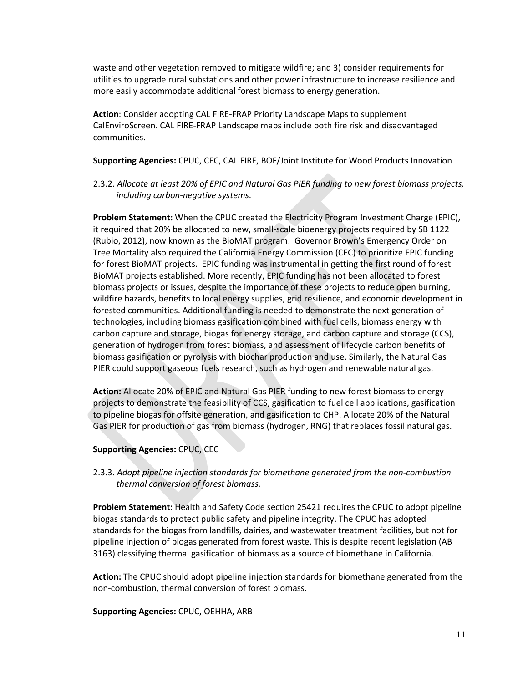waste and other vegetation removed to mitigate wildfire; and 3) consider requirements for utilities to upgrade rural substations and other power infrastructure to increase resilience and more easily accommodate additional forest biomass to energy generation.

**Action**: Consider adopting CAL FIRE-FRAP Priority Landscape Maps to supplement CalEnviroScreen. CAL FIRE-FRAP Landscape maps include both fire risk and disadvantaged communities.

**Supporting Agencies:** CPUC, CEC, CAL FIRE, BOF/Joint Institute for Wood Products Innovation

2.3.2. *Allocate at least 20% of EPIC and Natural Gas PIER funding to new forest biomass projects, including carbon-negative systems*.

**Problem Statement:** When the CPUC created the Electricity Program Investment Charge (EPIC), it required that 20% be allocated to new, small-scale bioenergy projects required by SB 1122 (Rubio, 2012), now known as the BioMAT program. Governor Brown's Emergency Order on Tree Mortality also required the California Energy Commission (CEC) to prioritize EPIC funding for forest BioMAT projects. EPIC funding was instrumental in getting the first round of forest BioMAT projects established. More recently, EPIC funding has not been allocated to forest biomass projects or issues, despite the importance of these projects to reduce open burning, wildfire hazards, benefits to local energy supplies, grid resilience, and economic development in forested communities. Additional funding is needed to demonstrate the next generation of technologies, including biomass gasification combined with fuel cells, biomass energy with carbon capture and storage, biogas for energy storage, and carbon capture and storage (CCS), generation of hydrogen from forest biomass, and assessment of lifecycle carbon benefits of biomass gasification or pyrolysis with biochar production and use. Similarly, the Natural Gas PIER could support gaseous fuels research, such as hydrogen and renewable natural gas.

**Action:** Allocate 20% of EPIC and Natural Gas PIER funding to new forest biomass to energy projects to demonstrate the feasibility of CCS, gasification to fuel cell applications, gasification to pipeline biogas for offsite generation, and gasification to CHP. Allocate 20% of the Natural Gas PIER for production of gas from biomass (hydrogen, RNG) that replaces fossil natural gas.

## **Supporting Agencies:** CPUC, CEC

2.3.3. *Adopt pipeline injection standards for biomethane generated from the non-combustion thermal conversion of forest biomass.*

**Problem Statement:** Health and Safety Code section 25421 requires the CPUC to adopt pipeline biogas standards to protect public safety and pipeline integrity. The CPUC has adopted standards for the biogas from landfills, dairies, and wastewater treatment facilities, but not for pipeline injection of biogas generated from forest waste. This is despite recent legislation (AB 3163) classifying thermal gasification of biomass as a source of biomethane in California.

**Action:** The CPUC should adopt pipeline injection standards for biomethane generated from the non-combustion, thermal conversion of forest biomass.

**Supporting Agencies:** CPUC, OEHHA, ARB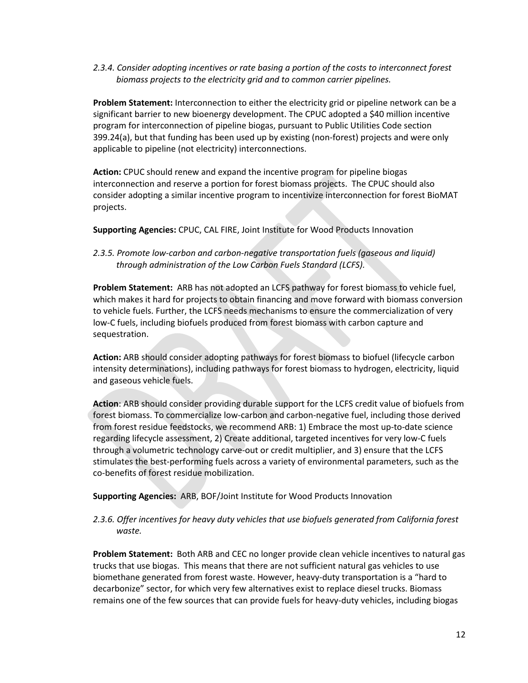*2.3.4. Consider adopting incentives or rate basing a portion of the costs to interconnect forest biomass projects to the electricity grid and to common carrier pipelines.*

**Problem Statement:** Interconnection to either the electricity grid or pipeline network can be a significant barrier to new bioenergy development. The CPUC adopted a \$40 million incentive program for interconnection of pipeline biogas, pursuant to Public Utilities Code section 399.24(a), but that funding has been used up by existing (non-forest) projects and were only applicable to pipeline (not electricity) interconnections.

**Action:** CPUC should renew and expand the incentive program for pipeline biogas interconnection and reserve a portion for forest biomass projects. The CPUC should also consider adopting a similar incentive program to incentivize interconnection for forest BioMAT projects.

**Supporting Agencies:** CPUC, CAL FIRE, Joint Institute for Wood Products Innovation

*2.3.5. Promote low-carbon and carbon-negative transportation fuels (gaseous and liquid) through administration of the Low Carbon Fuels Standard (LCFS).*

**Problem Statement:** ARB has not adopted an LCFS pathway for forest biomass to vehicle fuel, which makes it hard for projects to obtain financing and move forward with biomass conversion to vehicle fuels. Further, the LCFS needs mechanisms to ensure the commercialization of very low-C fuels, including biofuels produced from forest biomass with carbon capture and sequestration.

**Action:** ARB should consider adopting pathways for forest biomass to biofuel (lifecycle carbon intensity determinations), including pathways for forest biomass to hydrogen, electricity, liquid and gaseous vehicle fuels.

**Action**: ARB should consider providing durable support for the LCFS credit value of biofuels from forest biomass. To commercialize low-carbon and carbon-negative fuel, including those derived from forest residue feedstocks, we recommend ARB: 1) Embrace the most up-to-date science regarding lifecycle assessment, 2) Create additional, targeted incentives for very low-C fuels through a volumetric technology carve-out or credit multiplier, and 3) ensure that the LCFS stimulates the best-performing fuels across a variety of environmental parameters, such as the co-benefits of forest residue mobilization.

**Supporting Agencies:** ARB, BOF/Joint Institute for Wood Products Innovation

# *2.3.6. Offer incentives for heavy duty vehicles that use biofuels generated from California forest waste.*

**Problem Statement:** Both ARB and CEC no longer provide clean vehicle incentives to natural gas trucks that use biogas. This means that there are not sufficient natural gas vehicles to use biomethane generated from forest waste. However, heavy-duty transportation is a "hard to decarbonize" sector, for which very few alternatives exist to replace diesel trucks. Biomass remains one of the few sources that can provide fuels for heavy-duty vehicles, including biogas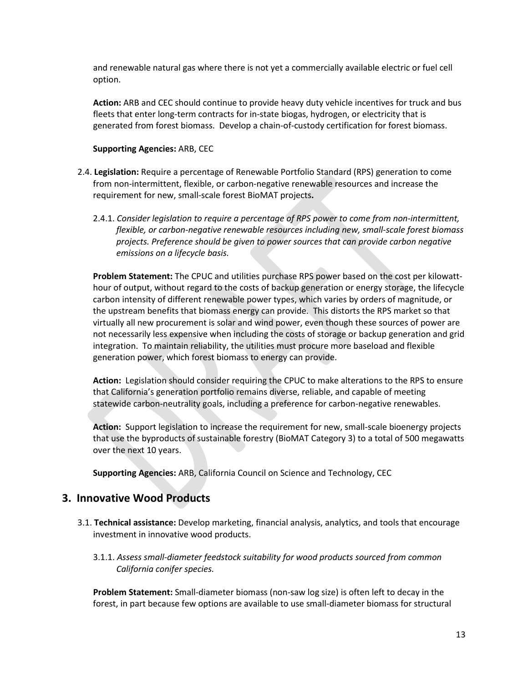and renewable natural gas where there is not yet a commercially available electric or fuel cell option.

**Action:** ARB and CEC should continue to provide heavy duty vehicle incentives for truck and bus fleets that enter long-term contracts for in-state biogas, hydrogen, or electricity that is generated from forest biomass. Develop a chain-of-custody certification for forest biomass.

## **Supporting Agencies:** ARB, CEC

- 2.4. **Legislation:** Require a percentage of Renewable Portfolio Standard (RPS) generation to come from non-intermittent, flexible, or carbon-negative renewable resources and increase the requirement for new, small-scale forest BioMAT projects**.**
	- 2.4.1. *Consider legislation to require a percentage of RPS power to come from non-intermittent, flexible, or carbon-negative renewable resources including new, small-scale forest biomass projects. Preference should be given to power sources that can provide carbon negative emissions on a lifecycle basis.*

**Problem Statement:** The CPUC and utilities purchase RPS power based on the cost per kilowatthour of output, without regard to the costs of backup generation or energy storage, the lifecycle carbon intensity of different renewable power types, which varies by orders of magnitude, or the upstream benefits that biomass energy can provide. This distorts the RPS market so that virtually all new procurement is solar and wind power, even though these sources of power are not necessarily less expensive when including the costs of storage or backup generation and grid integration. To maintain reliability, the utilities must procure more baseload and flexible generation power, which forest biomass to energy can provide.

**Action:** Legislation should consider requiring the CPUC to make alterations to the RPS to ensure that California's generation portfolio remains diverse, reliable, and capable of meeting statewide carbon-neutrality goals, including a preference for carbon-negative renewables.

**Action:** Support legislation to increase the requirement for new, small-scale bioenergy projects that use the byproducts of sustainable forestry (BioMAT Category 3) to a total of 500 megawatts over the next 10 years.

**Supporting Agencies:** ARB, California Council on Science and Technology, CEC

# **3. Innovative Wood Products**

- 3.1. **Technical assistance:** Develop marketing, financial analysis, analytics, and tools that encourage investment in innovative wood products.
	- 3.1.1. *Assess small-diameter feedstock suitability for wood products sourced from common California conifer species.*

**Problem Statement:** Small-diameter biomass (non-saw log size) is often left to decay in the forest, in part because few options are available to use small-diameter biomass for structural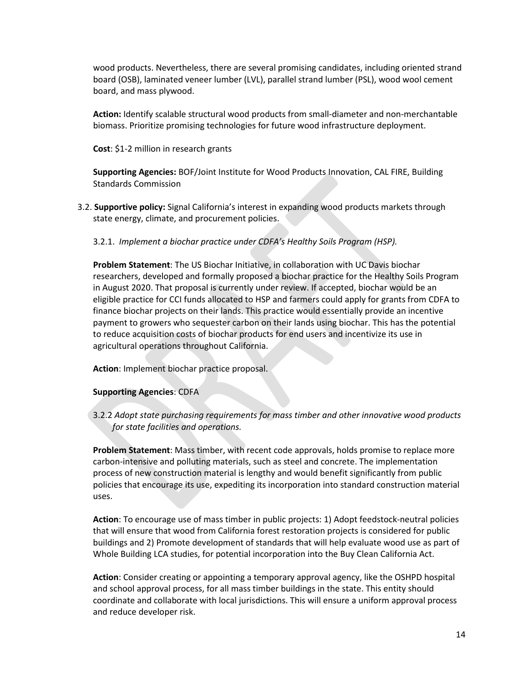wood products. Nevertheless, there are several promising candidates, including oriented strand board (OSB), laminated veneer lumber (LVL), parallel strand lumber (PSL), wood wool cement board, and mass plywood.

**Action:** Identify scalable structural wood products from small-diameter and non-merchantable biomass. Prioritize promising technologies for future wood infrastructure deployment.

**Cost**: \$1-2 million in research grants

**Supporting Agencies:** BOF/Joint Institute for Wood Products Innovation, CAL FIRE, Building Standards Commission

- 3.2. **Supportive policy:** Signal California's interest in expanding wood products markets through state energy, climate, and procurement policies.
	- 3.2.1. *Implement a biochar practice under CDFA's Healthy Soils Program (HSP).*

**Problem Statement**: The US Biochar Initiative, in collaboration with UC Davis biochar researchers, developed and formally proposed a biochar practice for the Healthy Soils Program in August 2020. That proposal is currently under review. If accepted, biochar would be an eligible practice for CCI funds allocated to HSP and farmers could apply for grants from CDFA to finance biochar projects on their lands. This practice would essentially provide an incentive payment to growers who sequester carbon on their lands using biochar. This has the potential to reduce acquisition costs of biochar products for end users and incentivize its use in agricultural operations throughout California.

**Action**: Implement biochar practice proposal.

#### **Supporting Agencies**: CDFA

3.2.2 *Adopt state purchasing requirements for mass timber and other innovative wood products for state facilities and operations.*

**Problem Statement**: Mass timber, with recent code approvals, holds promise to replace more carbon-intensive and polluting materials, such as steel and concrete. The implementation process of new construction material is lengthy and would benefit significantly from public policies that encourage its use, expediting its incorporation into standard construction material uses.

**Action**: To encourage use of mass timber in public projects: 1) Adopt feedstock-neutral policies that will ensure that wood from California forest restoration projects is considered for public buildings and 2) Promote development of standards that will help evaluate wood use as part of Whole Building LCA studies, for potential incorporation into the Buy Clean California Act.

**Action**: Consider creating or appointing a temporary approval agency, like the OSHPD hospital and school approval process, for all mass timber buildings in the state. This entity should coordinate and collaborate with local jurisdictions. This will ensure a uniform approval process and reduce developer risk.